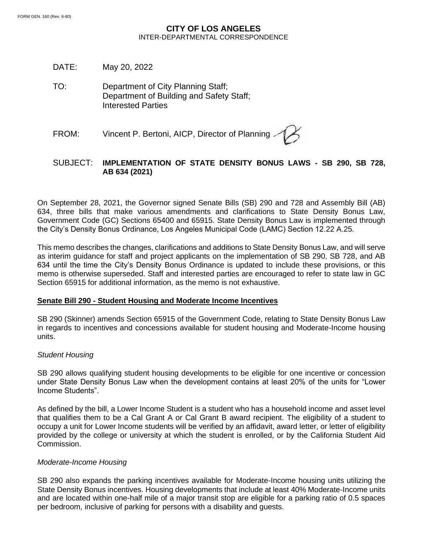# **CITY OF LOS ANGELES** INTER-DEPARTMENTAL CORRESPONDENCE

- DATE: May 20, 2022
- TO: Department of City Planning Staff; Department of Building and Safety Staff; Interested Parties
- FROM: Vincent P. Bertoni, AICP, Director of Planning

# SUBJECT: **IMPLEMENTATION OF STATE DENSITY BONUS LAWS - SB 290, SB 728, AB 634 (2021)**

On September 28, 2021, the Governor signed Senate Bills (SB) 290 and 728 and Assembly Bill (AB) 634, three bills that make various amendments and clarifications to State Density Bonus Law, Government Code (GC) Sections 65400 and 65915. State Density Bonus Law is implemented through the City's Density Bonus Ordinance, Los Angeles Municipal Code (LAMC) Section 12.22 A.25.

This memo describes the changes, clarifications and additions to State Density Bonus Law, and will serve as interim guidance for staff and project applicants on the implementation of SB 290, SB 728, and AB 634 until the time the City's Density Bonus Ordinance is updated to include these provisions, or this memo is otherwise superseded. Staff and interested parties are encouraged to refer to state law in GC Section 65915 for additional information, as the memo is not exhaustive.

#### **Senate Bill 290 - Student Housing and Moderate Income Incentives**

SB 290 (Skinner) amends Section 65915 of the Government Code, relating to State Density Bonus Law in regards to incentives and concessions available for student housing and Moderate-Income housing units.

# *Student Housing*

SB 290 allows qualifying student housing developments to be eligible for one incentive or concession under State Density Bonus Law when the development contains at least 20% of the units for "Lower Income Students".

As defined by the bill, a Lower Income Student is a student who has a household income and asset level that qualifies them to be a Cal Grant A or Cal Grant B award recipient. The eligibility of a student to occupy a unit for Lower Income students will be verified by an affidavit, award letter, or letter of eligibility provided by the college or university at which the student is enrolled, or by the California Student Aid Commission.

#### *Moderate-Income Housing*

SB 290 also expands the parking incentives available for Moderate-Income housing units utilizing the State Density Bonus incentives. Housing developments that include at least 40% Moderate-Income units and are located within one-half mile of a major transit stop are eligible for a parking ratio of 0.5 spaces per bedroom, inclusive of parking for persons with a disability and guests.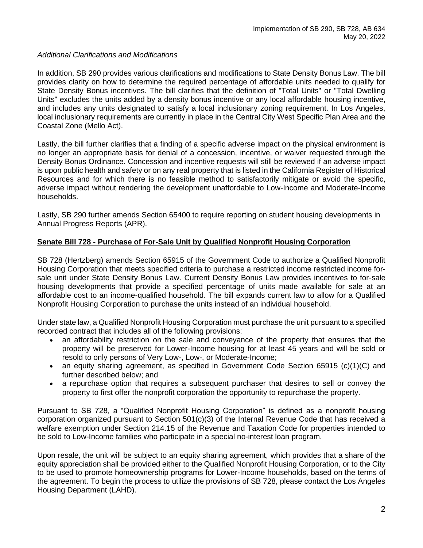### *Additional Clarifications and Modifications*

In addition, SB 290 provides various clarifications and modifications to State Density Bonus Law. The bill provides clarity on how to determine the required percentage of affordable units needed to qualify for State Density Bonus incentives. The bill clarifies that the definition of "Total Units" or "Total Dwelling Units" excludes the units added by a density bonus incentive or any local affordable housing incentive, and includes any units designated to satisfy a local inclusionary zoning requirement. In Los Angeles, local inclusionary requirements are currently in place in the Central City West Specific Plan Area and the Coastal Zone (Mello Act).

Lastly, the bill further clarifies that a finding of a specific adverse impact on the physical environment is no longer an appropriate basis for denial of a concession, incentive, or waiver requested through the Density Bonus Ordinance. Concession and incentive requests will still be reviewed if an adverse impact is upon public health and safety or on any real property that is listed in the California Register of Historical Resources and for which there is no feasible method to satisfactorily mitigate or avoid the specific, adverse impact without rendering the development unaffordable to Low-Income and Moderate-Income households.

Lastly, SB 290 further amends Section 65400 to require reporting on student housing developments in Annual Progress Reports (APR).

# **Senate Bill 728 - Purchase of For-Sale Unit by Qualified Nonprofit Housing Corporation**

SB 728 (Hertzberg) amends Section 65915 of the Government Code to authorize a Qualified Nonprofit Housing Corporation that meets specified criteria to purchase a restricted income restricted income forsale unit under State Density Bonus Law. Current Density Bonus Law provides incentives to for-sale housing developments that provide a specified percentage of units made available for sale at an affordable cost to an income-qualified household. The bill expands current law to allow for a Qualified Nonprofit Housing Corporation to purchase the units instead of an individual household.

Under state law, a Qualified Nonprofit Housing Corporation must purchase the unit pursuant to a specified recorded contract that includes all of the following provisions:

- an affordability restriction on the sale and conveyance of the property that ensures that the property will be preserved for Lower-Income housing for at least 45 years and will be sold or resold to only persons of Very Low-, Low-, or Moderate-Income;
- an equity sharing agreement, as specified in Government Code Section 65915 (c)(1)(C) and further described below; and
- a repurchase option that requires a subsequent purchaser that desires to sell or convey the property to first offer the nonprofit corporation the opportunity to repurchase the property.

Pursuant to SB 728, a "Qualified Nonprofit Housing Corporation" is defined as a nonprofit housing corporation organized pursuant to Section 501(c)(3) of the Internal Revenue Code that has received a welfare exemption under Section 214.15 of the Revenue and Taxation Code for properties intended to be sold to Low-Income families who participate in a special no-interest loan program.

Upon resale, the unit will be subject to an equity sharing agreement, which provides that a share of the equity appreciation shall be provided either to the Qualified Nonprofit Housing Corporation, or to the City to be used to promote homeownership programs for Lower-Income households, based on the terms of the agreement. To begin the process to utilize the provisions of SB 728, please contact the Los Angeles Housing Department (LAHD).